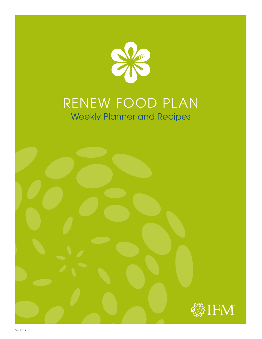

# RENEW FOOD PLAN Weekly Planner and Recipes

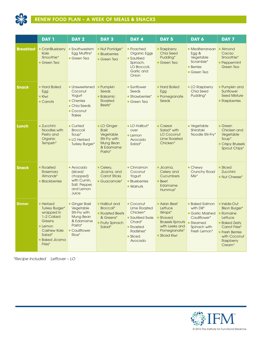

|                  | DAY <sub>1</sub>                                                                                                                                           | DAY <sub>2</sub>                                                                                         | DAY <sub>3</sub>                                                                                   | DAY 4                                                                                                                                 | DAY <sub>5</sub>                                                                                                                    | DAY 6                                                                                                             | DAY 7                                                                                                                                                                                  |
|------------------|------------------------------------------------------------------------------------------------------------------------------------------------------------|----------------------------------------------------------------------------------------------------------|----------------------------------------------------------------------------------------------------|---------------------------------------------------------------------------------------------------------------------------------------|-------------------------------------------------------------------------------------------------------------------------------------|-------------------------------------------------------------------------------------------------------------------|----------------------------------------------------------------------------------------------------------------------------------------------------------------------------------------|
| <b>Breakfast</b> | CranBlueberry<br>Kale<br>Smoothie*<br>Green Tea                                                                                                            | Southwestern<br>Egg Muffins*<br>$\blacksquare$ Green Tea                                                 | • Nut Porridge*<br><b>Blueberries</b><br>Green Tea                                                 | • Poached<br>Organic Eggs<br><b>Sautéed</b><br>Spinach,<br>LO Broccoli,<br>Garlic and<br>Onion                                        | • Raspberry<br><b>Chia Seed</b><br>Pudding*<br>Green Tea                                                                            | • Mediterranean<br>Egg &<br>Vegetable<br>Scramble*<br><b>Berries</b><br>Green Tea                                 | <b>Almond</b><br>Cacao<br>Smoothie*<br><b>Peppermint</b><br>Green Tea                                                                                                                  |
| <b>Snack</b>     | <b>Hard Boiled</b><br>Egg<br><b>Kiwi</b><br>$\blacksquare$ Carrots                                                                                         | <b>Unsweetened</b><br>Coconut<br>Yogurt<br>• Cherries<br>• Chia Seeds<br>Coconut<br>flakes               | <b>Pumpkin</b><br>Seeds<br><b>Balsamic</b><br>Roasted<br>Beets*                                    | <b>Sunflower</b><br>Seeds<br>Strawberries*<br>$\blacksquare$ Green Tea                                                                | <b>Hard Boiled</b><br>Egg<br>• Pomegranate<br>Seeds                                                                                 | <b>LO Raspberry</b><br>Chia Seed<br>Pudding*                                                                      | • Pumpkin and<br>Sunflower<br><b>Seed Mixture</b><br>• Raspberries                                                                                                                     |
| Lunch            | <b>Zucchini</b><br>Noodles with<br>Pesto and<br>Organic<br>Tempeh*                                                                                         | • Curried<br><b>Broccoli</b><br>Soup*<br><b>LO</b> Herbed<br><b>Turkey Burger*</b>                       | <b>LO</b> Ginger<br><b>Basil</b><br>Vegetable<br>Stir-Fry with<br>Mung Bean<br>& Edamame<br>Pasta* | <b>LO Halibut*</b><br>over<br>$L$ emon<br>Avocado<br>Salad*                                                                           | • Caesar<br>Salad* with<br>LO Coconut<br><b>Lime Roasted</b><br>Chicken*                                                            | · Vegetable<br>Shirataki<br>Noodle Stir-Fry*                                                                      | $\blacksquare$ Green<br>Chicken and<br>Vegetable<br>Soup*<br>Crispy Brussels<br>Sprout Chips*                                                                                          |
| <b>Snack</b>     | • Roasted<br>Rosemary<br>Almonds*<br><b>Blackberries</b>                                                                                                   | Avocado<br>(sliced/<br>chopped)<br>with Cumin,<br>Salt, Pepper,<br>and Lemon<br>Juice                    | Celery,<br>Jicama, and<br><b>Carrot Sticks</b><br>• Guacamole*                                     | $\blacksquare$ Cinnamon<br>Coconut<br>Yogurt<br><b>Blueberries</b><br><b>Walnuts</b>                                                  | <b>Jicama</b> ,<br>Celery and<br>Cucumbers<br><b>Beet</b><br>Edamame<br>Hummus*                                                     | Chewy<br><b>Crunchy Road</b><br>$Mix^*$                                                                           | <b>Sliced</b><br>Zucchini<br>Nut Cheese*                                                                                                                                               |
| <b>Dinner</b>    | <b>Herbed</b><br><b>Turkey Burger*</b><br>wrapped in<br>1-2 Collard<br>Greens<br>$L$ emon<br><b>Cashew Kale</b><br>Salad*<br><b>Baked Jicama</b><br>Fries* | Ginger Basil<br>Vegetable<br>Stir-Fry with<br>Mung Bean<br>& Edamame<br>Pasta*<br>• Cauliflower<br>Rice* | <b>Halibut and</b><br>Broccoli*<br>• Roasted Beets<br>& Greens*<br><b>Fruity Spinach</b><br>Salad* | $\blacksquare$ Coconut<br><b>Lime Roasted</b><br>Chicken*<br>Sautéed Swiss<br>Chard*<br>• Roasted<br>Radishes*<br>■ Sliced<br>Avocado | Asian Beef<br>Lettuce<br>Wraps*<br><b>Shaved</b><br><b>Brussels Sprouts</b><br>with Leeks and<br>Pomegranate*<br><b>Sliced Kiwi</b> | <b>Baked Salmon</b><br>with Dill*<br>• Garlic Mashed<br>Cauliflower*<br>■ Steamed<br>Spinach with<br>Fresh Lemon* | • Inside-Out<br><b>Bison Burger*</b><br>$\blacksquare$ Romaine<br>Lettuce<br><b>Baked Zesty</b><br>Carrot Fries*<br><b>Fresh Berries</b><br>with Coconut<br><b>Raspberry</b><br>Cream* |

*\*Recipe included Leftover – LO*

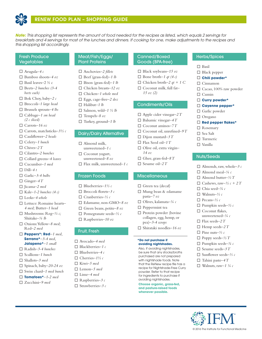

*Note: This shopping list represents the amount of food needed for the recipes as listed, which equals 2 servings for breakfasts and 4 servings for most of the lunches and dinners. If cooking for one, make adjustments to the recipes and this shopping list accordingly.*

### Fresh Produce **Vegetables**

- $\Box$  Arugula–4 c
- □ Bamboo shoots-4 oz
- o Basil leaves*–*2 ½ c
- □ Beets-2 bunches (3-4 *beets each)*
- $\Box$  Bok Choy, baby-2 c
- □ Broccoli-1 large head
- □ Brussels sprouts-4 *lbs*
- □ Cabbage-1 sm head *(2 c sliced)*
- o Carrots*–16 oz*
- $\Box$  Carrots, matchsticks–3½ c
- □ Cauliflower-2 heads
- □ Celery-1 bunch
- $\Box$  Chives-2 T
- □ Cilantro-2 bunches
- □ Collard greens–4 leaves
- □ Cucumber-1 med
- $\Box$  Dill–4 t
- □ Garlic<sup>-3-4 bulbs</sup>
- $\Box$  Ginger–4 T
- □ Iicama-2 med
- $\Box$  Kale–1-2 bunches (4 c)
- □ Leeks-4 whole
- □ Lettuce: Romaine hearts-*4 med;* Butter*–1 head*
- $\Box$  Mushrooms: Reg- $\frac{1}{2}$  c; Shiitake*–¼ lb*
- □ Onions: Yellow-8 med; Red*–2 med*
- o **Peppers\*: Red***–1 med,*  **Serrano\****–3-4 med,*  **Jalapeno\****–1 small*
- □ Radish-3-4 bunches
- □ Scallions–1 bunch
- □ Shallots-3 med
- $\Box$  Spinach, baby-20-24 oz
- □ Swiss chard–1 med bunch
- o **Tomatoes\****–1-2 med*
- □ Zucchini–9 med

### Meat/Fish/Eggs/ Plant Proteins

□ Anchovies-2 fillets  $\Box$  Beef (grass-fed)–1 *lb*  $\Box$  Bison (grass-fed)–1 *lb* □ Chicken breasts-12 oz

- □ Chicken-1 whole med
- □ Eggs, cage-free–2 doz
- $\Box$  Halibut-1 lb
- $\Box$  Salmon, wild–1  $\frac{1}{2}$  *lb*
- $\Box$  Tempeh–8 oz
- □ Turkey, ground–1 *lb*

### Dairy/Dairy Alternative

- $\Box$  Almond milk,
- unsweetened*–1 c*
- $\Box$  Coconut yogurt, unsweetened*–8 oz*
- $\Box$  Flax milk, unsweetened–1 c

### Frozen Foods

- o Blueberries*–1½ c*
- □ Broccoli florets-3 c
- o Cranberries*–½ c*
- o Edamame, non-GMO*–8 oz*
- □ Green beans, petite-8 oz
- o Pomegranate seeds*–½ c*
- o Raspberries*–10 oz*

### Fruit, Fresh

- □ Avocado-4 med
- o Blackberries*–1 c*
- o Blueberries*–4 c*
- $\Box$  Cherries– $1\frac{1}{2}c$
- $\Box$  Kiwi–5 med
- □ Lemon-5 med
- □ Lime-4 med
- o Raspberries*–3 c*
- o Strawberries*–3 c*

### Canned/Boxed Goods (BPA-free)

- $\Box$  Black soybeans–15 oz
- $\Box$  Bone broth–1 *qt* (4 *c*)
- $\Box$  Chicken broth–2 *qt* + 1 C
- □ Coconut milk, full fat-*15 oz (2)*

### Condiments/Oils

- $\Box$  Apple cider vinegar–2 T
- $\Box$  Balsamic vinegar–4 T
- $\Box$  Coconut aminos–7 T
- $\Box$  Coconut oil, unrefined–9 T
- 
- $\Box$  Dijon mustard–3 T
- $\Box$  Flax Seed oil–1 T
- □ Olive oil, extra virgin– *14 oz*
- $\Box$  Ghee, grass-fed-8 T
- $\Box$  Sesame oil–2 T

### **Miscellaneous**

- $\Box$  Green tea (decaf)
- $\Box$  Mung bean & edamame pasta*–7 oz*
- o Olives, kalamata*–¼ c*
- $\Box$  Peppermint tea
- $\Box$  Protein powder (bovine collagen, egg, hemp, or pea)*–3-4 scoops*
- o Shirataki noodles*–16 oz*

### **\*Do not purchase if avoiding nightshades.**

Also, if avoiding nightshades, be sure that any stocks/broths purchased are not prepared with nightshade foods. Note that the ReNew recipe file has a recipe for Nightshade-Free Curry powder. Refer to that recipe for ingredients to purchase if avoiding nightshades.

**Choose organic, grass-fed, and pasture-raised foods whenever possible.**

### Herbs/Spices

- $\square$  Basil
- $\Box$  Black pepper
- o **Chili powder\***

o **Curry powder\*** o **Cayenne pepper\***   $\Box$  Garlic powder  $\Box$  Oregano

o **Red pepper flakes\*** 

 $\Box$  Almonds, raw, whole–3 c  $\Box$  Almond meal– $\frac{1}{4}c$  $\Box$  Almond butter– $\frac{1}{2}T$  $\Box$  Cashews, raw-½  $c + 2T$ 

 $\square$  Cinnamon

 $\square$  Cumin

 $\square$  Rosemary  $\square$  Sea Salt  $\square$  Turmeric  $\square$  Vanilla

Nuts/Seeds

o Chia seed*–¾ c*  $\Box$  Walnuts- $\frac{1}{2}c$ o Pecans*–½ c*

 $\Box$  Pumpkin seeds–½ c  $\Box$  Coconut flakes, unsweetened*–¼ c*   $\Box$  Flax seeds-2 T  $\Box$  Hemp seeds–2 T o Pine nuts*–⅓ c*   $\Box$  Poppy seeds- $\frac{1}{2}T$ o Pumpkin seeds*–¾ c* □ Sesame seeds-3 T o Sunflower seeds*–⅓ c*  $\Box$  Tahini paste–4 T  $\Box$  Walnuts, raw–1  $\frac{1}{4}c$ 

 $\Box$  Cacao, 100% raw powder

© 2016 The Institute for Functional Medicine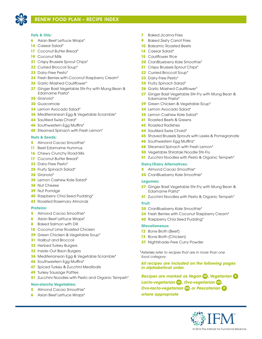

# RENEW FOOD PLAN – RECIPE INDEX

### **Fats & Oils:**

- Asian Beef Lettuce Wraps\*
- Caesar Salad\*
- 17 Coconut Butter Bread\*
- Coconut Milk
- Crispy Brussels Sprout Chips\*
- Curried Broccoli Soup\*
- Dairy-Free Pesto\*
- Fresh Berries with Coconut Raspberry Cream\*
- Garlic Mashed Cauliflower\*
- Ginger Basil Vegetable Stir-Fry with Mung Bean & Edamame Pasta\*
- Granola\*
- Guacamole
- Lemon Avocado Salad\*
- Mediterranean Egg & Vegetable Scramble\*
- Sautéed Swiss Chard\*
- Southwestern Egg Muffins\*
- Steamed Spinach with Fresh Lemon\*

### **Nuts & Seeds:**

- Almond Cacao Smoothie\*
- Beet Edamame Hummus
- Chewy Crunchy Road Mix
- 17 Coconut Butter Bread\*
- Dairy-Free Pesto\*
- Fruity Spinach Salad\*
- Granola\*
- Lemon Cashew Kale Salad\*
- Nut Cheese
- Nut Porridge
- Raspberry Chia Seed Pudding\*
- Roasted Rosemary Almonds

### **Proteins:**

- Almond Cacao Smoothie\*
- Asian Beef Lettuce Wraps\*
- Baked Salmon with Dill
- Coconut Lime Roasted Chicken
- Green Chicken & Vegetable Soup\*
- Halibut and Broccoli
- Herbed Turkey Burgers
- Inside-Out Bison Burgers
- Mediterranean Egg & Vegetable Scramble\*
- Southwestern Egg Muffins\*
- Spiced Turkey & Zucchini Meatballs
- Turkey Sausage Patties
- Zucchini Noodles with Pesto and Organic Tempeh\*

### **Non-starchy Vegetables:**

- Almond Cacao Smoothie\*
- Asian Beef Lettuce Wraps\*
- Baked Jicama Fries
- Baked Zesty Carrot Fries
- Balsamic Roasted Beets
- Caesar Salad\*
- Cauliflower Rice
- CranBlueberry Kale Smoothie\*
- Crispy Brussels Sprout Chips\*
- Curried Broccoli Soup\*
- Dairy-Free Pesto\*
- Fruity Spinach Salad\*
- Garlic Mashed Cauliflower\*
- Ginger Basil Vegetable Stir-Fry with Mung Bean & Edamame Pasta\*
- Green Chicken & Vegetable Soup\*
- Lemon Avocado Salad\*
- Lemon Cashew Kale Salad\*
- Roasted Beets & Greens
- Roasted Radishes
- Sautéed Swiss Chard\*
- Shaved Brussels Sprouts with Leeks & Pomegranate
- Southwestern Egg Muffins\*
- Steamed Spinach with Fresh Lemon\*
- Vegetable Shirataki Noodle Stir-Fry
- Zucchini Noodles with Pesto & Organic Tempeh\*

### **Dairy/Dairy Alternatives:**

- Almond Cacao Smoothie\*
- CranBlueberry Kale Smoothie\*

### **Legumes:**

- Ginger Basil Vegetable Stir-Fry with Mung Bean & Edamame Pasta\*
- **51** Zucchini Noodles with Pesto & Organic Tempeh<sup>\*</sup>

### **Fruit:**

- CranBlueberry Kale Smoothie\*
- Fresh Berries with Coconut Raspberry Cream\*
- Raspberry Chia Seed Pudding\*

### **Miscellaneous:**

- Bone Broth (Beef)
- Bone Broth (Chicken)
- Nightshade-Free Curry Powder

*\*Asterisks refer to recipes that are in more than one food category.* 

*All recipes are included on the following pages in alphabetical order.*

*Recipes are marked as Vegan* **VE** *, Vegetarian* **<sup>V</sup>** *Lacto-vegetarian* **VL** *, Ovo-vegetarian* **VO** *, Ovo-lacto-vegetarian* **VOL** *or Pescatarian* **<sup>P</sup>** *where appropriate*

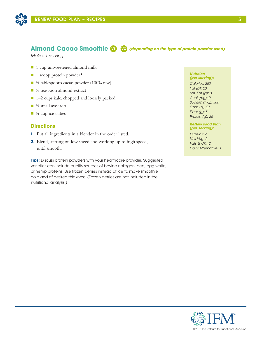

# **Almond Cacao Smoothie VE VO** *(depending on the type of protein powder used)*

*Makes 1 serving*

- 1 cup unsweetened almond milk
- 1 scoop protein powder\*
- $\blacksquare$  ½ tablespoons cacao powder (100% raw)
- $\blacksquare$  ½ teaspoon almond extract
- 1–2 cups kale, chopped and loosely packed
- $\blacksquare$  ½ small avocado
- $\blacksquare$  <sup>1</sup>/<sub>4</sub> cup ice cubes

### **Directions**

- **1.** Put all ingredients in a blender in the order listed.
- **2.** Blend, starting on low speed and working up to high speed, until smooth.

**Tips:** Discuss protein powders with your healthcare provider. Suggested varieties can include quality sources of bovine collagen, pea, egg white, or hemp proteins. Use frozen berries instead of ice to make smoothie cold and of desired thickness. (Frozen berries are not included in the nutritional analysis.)

#### *Nutrition (per serving):*

*Calories: 253 Fat (g): 20 Sat. Fat (g): 3 Chol (mg): 0 Sodium (mg): 386 Carb (g): 27 Fiber (g): 8 Protein (g): 25*

### *ReNew Food Plan (per serving):*

*Proteins: 2 Nns Veg: 2 Fats & Oils: 2 Dairy Alternative: 1*

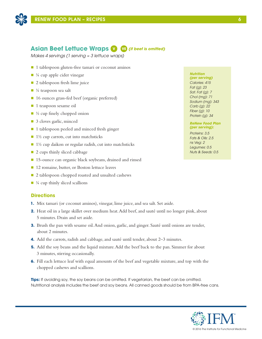

# **Asian Beef Lettuce Wraps V VE** *(if beef is omitted)*

*Makes 4 servings (1 serving ≈ 3 lettuce wraps)*

- $\blacksquare$  1 tablespoon gluten-free tamari or coconut aminos
- $\blacksquare$  ¼ cup apple cider vinegar
- $\Box$  2 tablespoon fresh lime juice
- $\blacksquare$  ¼ teaspoon sea salt
- 16 ounces grass-fed beef (organic preferred)
- **n** 1 teaspoon sesame oil
- $\blacksquare$  ½ cup finely chopped onion
- 3 cloves garlic, minced
- 1 tablespoon peeled and minced fresh ginger
- $\blacksquare$  1½ cup carrots, cut into matchsticks
- $\blacksquare$  1½ cup daikon or regular radish, cut into matchsticks
- 2 cups thinly sliced cabbage
- 15-ounce can organic black soybeans, drained and rinsed
- 12 romaine, butter, or Boston lettuce leaves
- 2 tablespoon chopped roasted and unsalted cashews
- $\blacksquare$  ¼ cup thinly sliced scallions

### **Directions**

- **1.** Mix tamari (or coconut aminos), vinegar, lime juice, and sea salt. Set aside.
- **2.** Heat oil in a large skillet over medium heat. Add beef, and sauté until no longer pink, about 5 minutes. Drain and set aside.
- **3.** Brush the pan with sesame oil. And onion, garlic, and ginger. Sauté until onions are tender, about 2 minutes.
- **4.** Add the carrots, radish and cabbage, and sauté until tender, about 2–3 minutes.
- **5.** Add the soy beans and the liquid mixture. Add the beef back to the pan. Simmer for about 3 minutes, stirring occasionally.
- **6.** Fill each lettuce leaf with equal amounts of the beef and vegetable mixture, and top with the chopped cashews and scallions.

**Tips:** If avoiding soy, the soy beans can be omitted. If vegetarian, the beef can be omitted. Nutritional analysis includes the beef and soy beans. All canned goods should be from BPA-free cans.



*(per serving) Calories: 415 Fat (g): 23 Sat. Fat (g): 7 Chol (mg): 71 Sodium (mg): 343 Carb (g): 22 Fiber (g): 10 Protein (g): 34*

#### *ReNew Food Plan (per serving):*

*Proteins: 3.5 Fats & Oils: 2.5 ns Veg: 2 Legumes: 0.5 Nuts & Seeds: 0.5*

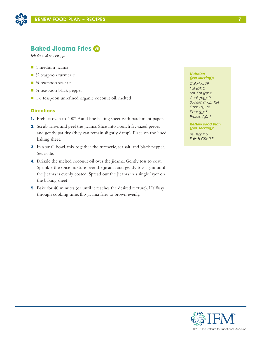

# **Baked Jicama Fries VE**

*Makes 4 servings*

- **n** 1 medium jicama
- $\blacksquare$  ½ teaspoon turmeric
- $\blacksquare$  ¼ teaspoon sea salt
- $\blacksquare$  ¼ teaspoon black pepper
- $\blacksquare$  1½ teaspoon unrefined organic coconut oil, melted

# **Directions**

- **1.** Preheat oven to 400° F and line baking sheet with parchment paper.
- **2.** Scrub, rinse, and peel the jicama. Slice into French fry-sized pieces and gently pat dry (they can remain slightly damp). Place on the lined baking sheet.
- **3.** In a small bowl, mix together the turmeric, sea salt, and black pepper. Set aside.
- **4.** Drizzle the melted coconut oil over the jicama. Gently toss to coat. Sprinkle the spice mixture over the jicama and gently toss again until the jicama is evenly coated. Spread out the jicama in a single layer on the baking sheet.
- **5.** Bake for 40 minutes (or until it reaches the desired texture). Halfway through cooking time, flip jicama fries to brown evenly.

#### *Nutrition (per serving):*

*Calories: 79 Fat (g): 2 Sat. Fat (g): 2 Chol (mg): 0 Sodium (mg): 124 Carb (g): 15 Fiber (g): 8 Protein (g): 1*

*ReNew Food Plan (per serving):*

*ns Veg: 2.5 Fats & Oils: 0.5* 

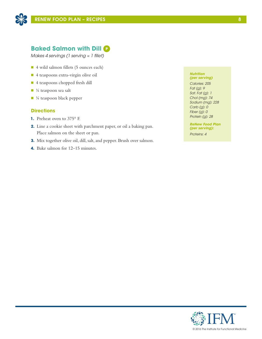

# **Baked Salmon with Dill P**

*Makes 4 servings (1 serving ≈ 1 fillet)*

- 4 wild salmon fillets (5 ounces each)
- 4 teaspoons extra-virgin olive oil
- 4 teaspoons chopped fresh dill
- $\blacksquare$  ¼ teaspoon sea salt
- ¼ teaspoon black pepper

# **Directions**

- **1.** Preheat oven to 375° F.
- **2.** Line a cookie sheet with parchment paper, or oil a baking pan. Place salmon on the sheet or pan.
- **3.** Mix together olive oil, dill, salt, and pepper. Brush over salmon.
- **4.** Bake salmon for 12–15 minutes.

#### *Nutrition (per serving)*

*Calories: 205 Fat (g): 9 Sat. Fat (g): 1 Chol (mg): 74 Sodium (mg): 228 Carb (g): 0 Fiber (g): 0 Protein (g): 28*

*ReNew Food Plan (per serving):*

*Proteins: 4*

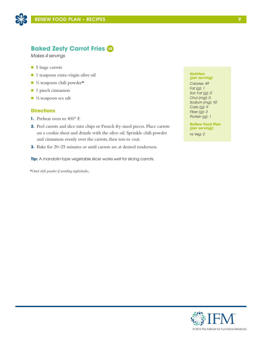

# **Baked Zesty Carrot Fries VE**

*Makes 4 servings*

- 5 large carrots
- 1 teaspoon extra-virgin olive oil
- $\blacksquare$  ¼ teaspoon chili powder\*
- 1 pinch cinnamon
- $\blacksquare$  1/8 teaspoon sea salt

## **Directions**

- **1.** Preheat oven to 400° F.
- **2.** Peel carrots and slice into chips or French fry-sized pieces. Place carrots on a cookie sheet and drizzle with the olive oil. Sprinkle chili powder and cinnamon evenly over the carrots, then toss to coat.
- **3.** Bake for 20–25 minutes or until carrots are at desired tenderness.

**Tip:** A mandolin-type vegetable slicer works well for slicing carrots.

*\*Omit chili powder if avoiding nightshades.*

#### *Nutrition (per serving)*

*Calories: 49 Fat (g): 1 Sat. Fat (g): 0 Chol (mg): 0 Sodium (mg): 92 Carb (g): 9 Fiber (g): 3 Protein (g): 1*

*ReNew Food Plan (per serving):*

*ns Veg: 2*

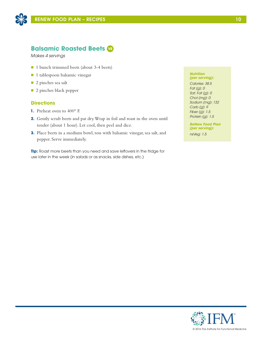

# **Balsamic Roasted Beets VE**

*Makes 4 servings*

- 1 bunch trimmed beets (about 3-4 beets)
- n 1 tablespoon balsamic vinegar
- 2 pinches sea salt
- 2 pinches black pepper

### **Directions**

- **1.** Preheat oven to 400° F.
- **2.** Gently scrub beets and pat dry. Wrap in foil and roast in the oven until tender (about 1 hour). Let cool, then peel and dice.
- **3.** Place beets in a medium bowl, toss with balsamic vinegar, sea salt, and pepper. Serve immediately.

**Tip:** Roast more beets than you need and save leftovers in the fridge for use later in the week (in salads or as snacks, side dishes, etc.)

#### *Nutrition (per serving):*

*Calories: 38.5 Fat (g): 0 Sat. Fat (g): 0 Chol (mg): 0 Sodium (mg): 132 Carb (g): 9 Fiber (g): 1.5 Protein (g): 1.5*

*ReNew Food Plan (per serving):*

*nsVeg: 1.5* 



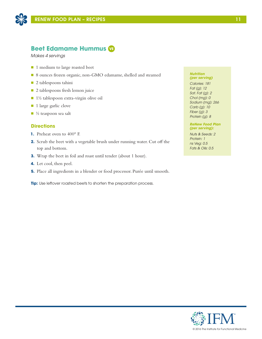

# **Beet Edamame Hummus VE**

*Makes 4 servings*

- 1 medium to large roasted beet
- 8 ounces frozen organic, non-GMO edamame, shelled and steamed
- $\blacksquare$  2 tablespoons tahini
- 2 tablespoons fresh lemon juice
- $\blacksquare$  1½ tablespoon extra-virgin olive oil
- 1 large garlic clove
- $\blacksquare$  ½ teaspoon sea salt

### **Directions**

- **1.** Preheat oven to 400° F.
- **2.** Scrub the beet with a vegetable brush under running water. Cut off the top and bottom.
- **3.** Wrap the beet in foil and roast until tender (about 1 hour).
- **4.** Let cool, then peel.
- **5.** Place all ingredients in a blender or food processor. Purée until smooth.

**Tip:** Use leftover roasted beets to shorten the preparation process.

#### *Nutrition (per serving)*

*Calories: 181 Fat (g): 12 Sat. Fat (g): 2 Chol (mg): 0 Sodium (mg): 266 Carb (g): 10 Fiber (g): 3 Protein (g): 8*

### *ReNew Food Plan (per serving):*

*Nuts & Seeds: 2 Protein: 1 ns Veg: 0.5 Fats & Oils: 0.5*

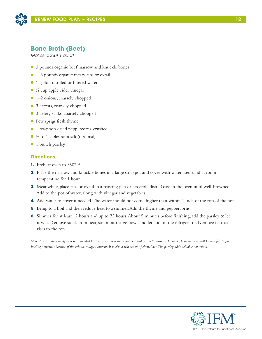

# **Bone Broth (Beef)**

*Makes about 1 quart*

- 3 pounds organic beef marrow and knuckle bones
- 1–3 pounds organic meaty ribs or oxtail
- 1 gallon distilled or filtered water
- $\blacksquare$  ¼ cup apple cider vinegar
- 1–2 onions, coarsely chopped
- 3 carrots, coarsely chopped
- 3 celery stalks, coarsely chopped
- **n** Few sprigs fresh thyme
- 1 teaspoon dried peppercorns, crushed
- $\Box$  ½ to 1 tablespoon salt (optional)
- $\blacksquare$  1 bunch parsley

# **Directions**

- **1.** Preheat oven to 350° F.
- **2.** Place the marrow and knuckle bones in a large stockpot and cover with water. Let stand at room temperature for 1 hour.
- **3.** Meanwhile, place ribs or oxtail in a roasting pan or casserole dish. Roast in the oven until well-browned. Add to the pot of water, along with vinegar and vegetables.
- **4.** Add water to cover if needed. The water should not come higher than within 1 inch of the rim of the pot.
- **5.** Bring to a boil and then reduce heat to a simmer. Add the thyme and peppercorns.
- **6.** Simmer for at least 12 hours and up to 72 hours. About 5 minutes before finishing, add the parsley & let it wilt. Remove stock from heat, strain into large bowl, and let cool in the refrigerator. Remove fat that rises to the top.

*Note: A nutritional analysis is not provided for this recipe, as it could not be calculated with accuracy. However, bone broth is well known for its gut healing properties because of the gelatin/collagen content. It is also a rich source of electrolytes. The parsley adds valuable potassium.*

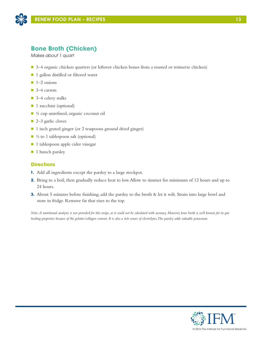

# **Bone Broth (Chicken)**

*Makes about 1 quart*

- 3–4 organic chicken quarters (or leftover chicken bones from a roasted or rotisserie chicken)
- 1 gallon distilled or filtered water
- $\blacksquare$  1–2 onions
- $\Box$  3–4 carrots
- 3–4 celery stalks
- 1 zucchini (optional)
- $\blacksquare$  ¼ cup unrefined, organic coconut oil
- 2–3 garlic cloves
- 1 inch grated ginger (or 2 teaspoons ground dried ginger)
- $\blacksquare$  ½ to 1 tablespoon salt (optional)
- 1 tablespoon apple cider vinegar
- 1 bunch parsley

# **Directions**

- **1.** Add all ingredients except the parsley to a large stockpot.
- **2.** Bring to a boil, then gradually reduce heat to low. Allow to simmer for minimum of 12 hours and up to 24 hours.
- **3.** About 5 minutes before finishing, add the parsley to the broth & let it wilt. Strain into large bowl and store in fridge. Remove fat that rises to the top.

*Note: A nutritional analysis is not provided for this recipe, as it could not be calculated with accuracy. However, bone broth is well known for its gut healing properties because of the gelatin/collagen content. It is also a rich source of electrolytes. The parsley adds valuable potassium.*

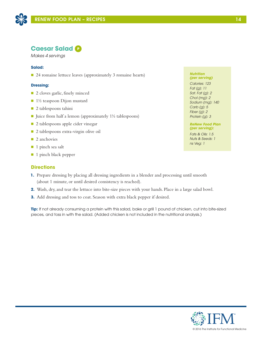

*Makes 4 servings*

### **Salad:**

■ 24 romaine lettuce leaves (approximately 3 romaine hearts)

### **Dressing:**

- 2 cloves garlic, finely minced
- $\blacksquare$  1½ teaspoon Dijon mustard
- $\blacksquare$  2 tablespoons tahini
- Juice from half a lemon (approximately  $1\frac{1}{2}$  tablespoons)
- 2 tablespoons apple cider vinegar
- 2 tablespoons extra-virgin olive oil
- 2 anchovies
- $\blacksquare$  1 pinch sea salt
- 1 pinch black pepper

## **Directions**

- **1.** Prepare dressing by placing all dressing ingredients in a blender and processing until smooth (about 1 minute, or until desired consistency is reached).
- **2.** Wash, dry, and tear the lettuce into bite-size pieces with your hands. Place in a large salad bowl.
- **3.** Add dressing and toss to coat. Season with extra black pepper if desired.

**Tip:** If not already consuming a protein with this salad, bake or grill 1 pound of chicken, cut into bite-sized pieces, and toss in with the salad. (Added chicken is not included in the nutritional analysis.)

#### *Nutrition (per serving)*

*Calories: 123 Fat (g): 11 Sat. Fat (g): 2 Chol (mg): 2 Sodium (mg): 140 Carb (g): 5 Fiber (g): 2 Protein (g): 3*

### *ReNew Food Plan (per serving):*

*Fats & Oils: 1.5 Nuts & Seeds: 1 ns Veg: 1*

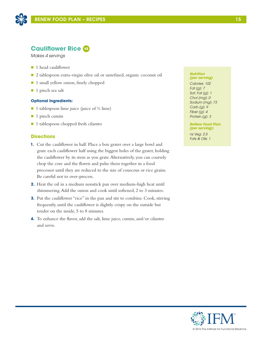

# **Cauliflower Rice VE**

*Makes 4 servings*

- **n** 1 head cauliflower
- 2 tablespoon extra-virgin olive oil or unrefined, organic coconut oil
- 1 small yellow onion, finely chopped
- $\blacksquare$  1 pinch sea salt

### **Optional Ingredients:**

- 1 tablespoon lime juice (juice of  $\frac{1}{2}$  lime)
- $\blacksquare$  1 pinch cumin
- 1 tablespoon chopped fresh cilantro

### **Directions**

- **1.** Cut the cauliflower in half. Place a box grater over a large bowl and grate each cauliflower half using the biggest holes of the grater, holding the cauliflower by its stem as you grate. Alternatively, you can coarsely chop the core and the florets and pulse them together in a food processor until they are reduced to the size of couscous or rice grains. Be careful not to over-process.
- **2.** Heat the oil in a medium nonstick pan over medium-high heat until shimmering. Add the onion and cook until softened, 2 to 3 minutes.
- **3.** Put the cauliflower "rice" in the pan and stir to combine. Cook, stirring frequently, until the cauliflower is slightly crispy on the outside but tender on the inside, 5 to 8 minutes.
- **4.** To enhance the flavor, add the salt, lime juice, cumin, and/or cilantro and serve.

#### *Nutrition (per serving)*

*Calories: 102 Fat (g): 7 Sat. Fat (g): 1 Chol (mg): 0 Sodium (mg): 73 Carb (g): 9 Fiber (g): 4 Protein (g): 3*

*ReNew Food Plan (per serving):*

*ns Veg: 2.5 Fats & Oils: 1*

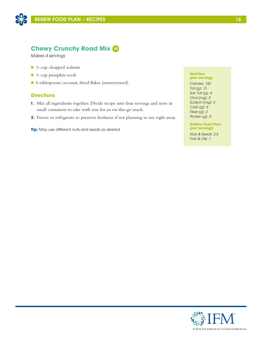

# **Chewy Crunchy Road Mix VE**

*Makes 4 servings*

- $\blacksquare$  ½ cup chopped walnuts
- $\blacksquare$  ¼ cup pumpkin seeds
- 6 tablespoons coconut, dried flakes (unsweetened)

# **Directions**

- **1.** Mix all ingredients together. Divide recipe into four servings and store in small containers to take with you for an on-the-go snack.
- **2.** Freeze or refrigerate to preserve freshness if not planning to use right away.

**Tip:** May use different nuts and seeds as desired.

#### *Nutrition (per serving)*

*Calories: 150 Fat (g): 13 Sat. Fat (g): 4 Chol (mg): 0 Sodium (mg): 3 Carb (g): 6 Fiber (g): 2 Protein (g): 5*

*ReNew Food Plan (per serving):*

*Nuts & Seeds: 2.5 Fats & Oils: 1*

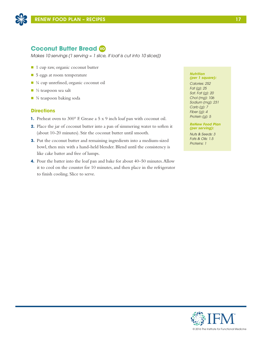

# **Coconut Butter Bread VO**

*Makes 10 servings (1 serving ≈ 1 slice, if loaf is cut into 10 slices))*

- 1 cup raw, organic coconut butter
- $\blacksquare$  5 eggs at room temperature
- $\blacksquare$  ¼ cup unrefined, organic coconut oil
- $\blacksquare$  ½ teaspoon sea salt
- $\blacksquare$   $\frac{3}{4}$  teaspoon baking soda

# **Directions**

- **1.** Preheat oven to 300° F. Grease a 5 x 9 inch loaf pan with coconut oil.
- **2.** Place the jar of coconut butter into a pan of simmering water to soften it (about 10-20 minutes). Stir the coconut butter until smooth.
- **3.** Put the coconut butter and remaining ingredients into a medium-sized bowl, then mix with a hand-held blender. Blend until the consistency is like cake batter and free of lumps.
- **4.** Pour the batter into the loaf pan and bake for about 40–50 minutes. Allow it to cool on the counter for 10 minutes, and then place in the refrigerator to finish cooling. Slice to serve.

### *Nutrition*

*(per 1 square): Calories: 252 Fat (g): 25 Sat. Fat (g): 20 Chol (mg): 106 Sodium (mg): 231 Carb (g): 7 Fiber (g): 4 Protein (g): 5*

*ReNew Food Plan (per serving):*

*Nuts & Seeds: 3 Fats & Oils: 1.5 Proteins: 1*

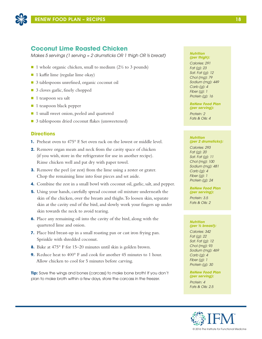

# **Coconut Lime Roasted Chicken**

*Makes 5 servings (1 serving ≈ 2 drumsticks OR 1 thigh OR ½ breast)*

- $\blacksquare$  1 whole organic chicken, small to medium (2½ to 3 pounds)
- $\blacksquare$  1 kaffir lime (regular lime okay)
- 3 tablespoons unrefined, organic coconut oil
- 3 cloves garlic, finely chopped
- $\blacksquare$  1 teaspoon sea salt
- **n** 1 teaspoon black pepper
- 1 small sweet onion, peeled and quartered
- 3 tablespoons dried coconut flakes (unsweetened)

### **Directions**

- **1.** Preheat oven to 475° F. Set oven rack on the lowest or middle level.
- **2.** Remove organ meats and neck from the cavity space of chicken (if you wish, store in the refrigerator for use in another recipe). Rinse chicken well and pat dry with paper towel.
- **3.** Remove the peel (or zest) from the lime using a zester or grater. Chop the remaining lime into four pieces and set aside.
- **4.** Combine the zest in a small bowl with coconut oil, garlic, salt, and pepper.
- **5.** Using your hands, carefully spread coconut oil mixture underneath the skin of the chicken, over the breasts and thighs. To loosen skin, separate skin at the cavity end of the bird, and slowly work your fingers up under skin towards the neck to avoid tearing.
- **6.** Place any remaining oil into the cavity of the bird, along with the quartered lime and onion.
- **7.** Place bird breast-up in a small roasting pan or cast iron frying pan. Sprinkle with shredded coconut.
- **8.** Bake at 475° F for 15–20 minutes until skin is golden brown.
- **9.** Reduce heat to 400° F and cook for another 45 minutes to 1 hour. Allow chicken to cool for 5 minutes before carving.

**Tip:** Save the wings and bones (carcass) to make bone broth! If you don't plan to make broth within a few days, store the carcass in the freezer.

#### *Nutrition (per thigh):*

*Calories: 291 Fat (g): 23 Sat. Fat (g): 12 Chol (mg): 79 Sodium (mg): 449 Carb (g): 4 Fiber (g): 1 Protein (g): 16*

#### *ReNew Food Plan (per serving):*

*Protein: 2 Fats & Oils: 4*

### *Nutrition (per 2 drumsticks):*

*Calories: 293 Fat (g): 20 Sat. Fat (g): 11 Chol (mg): 100 Sodium (mg): 481 Carb (g): 4 Fiber (g): 1 Protein (g): 24*

#### *ReNew Food Plan (per serving):*

*Protein: 3.5 Fats & Oils: 2*

#### *Nutrition (per ½ breast):*

*Calories: 342 Fat (g): 22 Sat. Fat (g): 12 Chol (mg): 93 Sodium (mg): 469 Carb (g): 4 Fiber (g): 1 Protein (g): 30*

*ReNew Food Plan (per serving):*

*Protein: 4 Fats & Oils: 2.5*

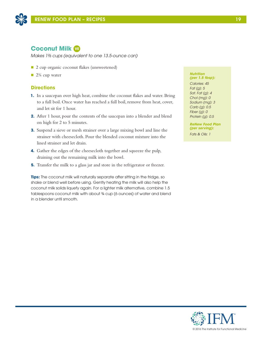

# **Coconut Milk VE**

*Makes 1⅔ cups (equivalent to one 13.5-ounce can)*

- 2 cup organic coconut flakes (unsweetened)
- $\blacksquare$  2¼ cup water

# **Directions**

- **1.** In a saucepan over high heat, combine the coconut flakes and water. Bring to a full boil. Once water has reached a full boil, remove from heat, cover, and let sit for 1 hour.
- **2.** After 1 hour, pour the contents of the saucepan into a blender and blend on high for 2 to 5 minutes.
- **3.** Suspend a sieve or mesh strainer over a large mixing bowl and line the strainer with cheesecloth. Pour the blended coconut mixture into the lined strainer and let drain.
- **4.** Gather the edges of the cheesecloth together and squeeze the pulp, draining out the remaining milk into the bowl.
- **5.** Transfer the milk to a glass jar and store in the refrigerator or freezer.

**Tips:** The coconut milk will naturally separate after sitting in the fridge, so shake or blend well before using. Gently heating the milk will also help the coconut milk solids liquefy again. For a lighter milk alternative, combine 1.5 tablespoons coconut milk with about ¾ cup (6 ounces) of water and blend in a blender until smooth.

#### *Nutrition (per 1.5 tbsp):*

*Calories: 45 Fat (g): 5 Sat. Fat (g): 4 Chol (mg): 0 Sodium (mg): 3 Carb (g): 0.5 Fiber (g): 0 Protein (g): 0.5*

*ReNew Food Plan (per serving): Fats & Oils: 1*

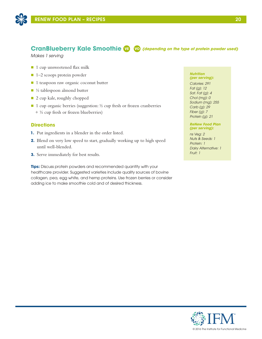

# **CranBlueberry Kale Smoothie VE VO** *(depending on the type of protein powder used)*

*Makes 1 serving*

- 1 cup unsweetened flax milk
- $\blacksquare$  1–2 scoops protein powder
- 1 teaspoon raw organic coconut butter
- $\blacksquare$  ½ tablespoon almond butter
- 2 cup kale, roughly chopped
- $\blacksquare$  1 cup organic berries (suggestion: ½ cup fresh or frozen cranberries + ½ cup fresh or frozen blueberries)

### **Directions**

- **1.** Put ingredients in a blender in the order listed.
- **2.** Blend on very low speed to start, gradually working up to high speed until well-blended.
- **3.** Serve immediately for best results.

**Tips:** Discuss protein powders and recommended quantity with your healthcare provider. Suggested varieties include quality sources of bovine collagen, pea, egg white, and hemp proteins. Use frozen berries or consider adding ice to make smoothie cold and of desired thickness.

#### *Nutrition (per serving):*

*Calories: 291 Fat (g): 12 Sat. Fat (g): 4 Chol (mg): 0 Sodium (mg): 255 Carb (g): 29 Fiber (g): 7 Protein (g): 21*

### *ReNew Food Plan (per serving):*

*ns Veg: 2 Nuts & Seeds: 1 Protein: 1 Dairy Alternative: 1 Fruit: 1*

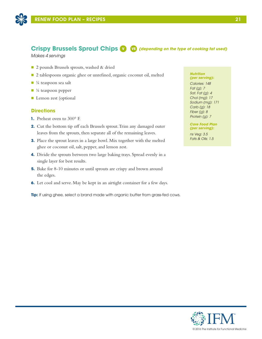

# Crispy Brussels Sprout Chips **V VE** *(depending on the type of cooking fat used)*

*Makes 4 servings*

- 2 pounds Brussels sprouts, washed & dried
- 2 tablespoons organic ghee or unrefined, organic coconut oil, melted
- $\blacksquare$  ¼ teaspoon sea salt
- $\blacksquare$  ¼ teaspoon pepper
- **Lemon zest (optional**

### **Directions**

- **1.** Preheat oven to 300° F.
- **2.** Cut the bottom tip off each Brussels sprout. Trim any damaged outer leaves from the sprouts, then separate all of the remaining leaves.
- **3.** Place the sprout leaves in a large bowl. Mix together with the melted ghee or coconut oil, salt, pepper, and lemon zest.
- **4.** Divide the sprouts between two large baking trays. Spread evenly in a single layer for best results.
- **5.** Bake for 8-10 minutes or until sprouts are crispy and brown around the edges.
- **6.** Let cool and serve. May be kept in an airtight container for a few days.

**Tip:** If using ghee, select a brand made with organic butter from grass-fed cows.

#### *Nutrition (per serving):*

*Calories: 148 Fat (g): 7 Sat. Fat (g): 4 Chol (mg): 17 Sodium (mg): 171 Carb (g): 18 Fiber (g): 8 Protein (g): 7*

*Core Food Plan (per serving):*

*ns Veg: 3.5 Fats & Oils: 1.5* 

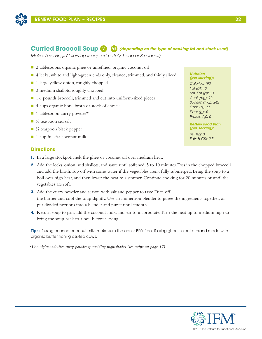

# **Curried Broccoli Soup V VE** *(depending on the type of cooking fat and stock used)*

*Makes 6 servings (1 serving ≈ approximately 1 cup or 8 ounces)*

- 2 tablespoons organic ghee or unrefined, organic coconut oil
- 4 leeks, white and light-green ends only, cleaned, trimmed, and thinly sliced
- 1 large yellow onion, roughly chopped
- 3 medium shallots, roughly chopped
- $\blacksquare$  1½ pounds broccoli, trimmed and cut into uniform-sized pieces
- 4 cups organic bone broth or stock of choice
- $\blacksquare$  1 tablespoon curry powder\*
- $\Box$  ½ teaspoon sea salt
- $\blacksquare$  ¼ teaspoon black pepper
- $\blacksquare$  1 cup full-fat coconut milk

# **Directions**

- **1.** In a large stockpot, melt the ghee or coconut oil over medium heat.
- **2.** Add the leeks, onion, and shallots, and sauté until softened, 5 to 10 minutes. Toss in the chopped broccoli and add the broth. Top off with some water if the vegetables aren't fully submerged. Bring the soup to a boil over high heat, and then lower the heat to a simmer. Continue cooking for 20 minutes or until the vegetables are soft.
- **3.** Add the curry powder and season with salt and pepper to taste. Turn off the burner and cool the soup slightly. Use an immersion blender to puree the ingredients together, or put divided portions into a blender and puree until smooth.
- **4.** Return soup to pan, add the coconut milk, and stir to incorporate. Turn the heat up to medium high to bring the soup back to a boil before serving.

**Tips:** If using canned coconut milk, make sure the can is BPA-free. If using ghee, select a brand made with organic butter from grass-fed cows.

*\*Use nightshade-free curry powder if avoiding nightshades (see recipe on page 37).* 

#### *Nutrition (per serving):*

*Calories: 193 Fat (g): 13 Sat. Fat (g): 10 Chol (mg): 12 Sodium (mg): 242 Carb (g): 17 Fiber (g): 4 Protein (g): 6*

*ReNew Food Plan (per serving):*

*ns Veg: 3 Fats & Oils: 2.5*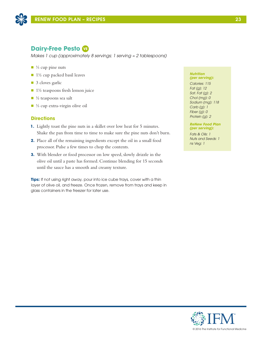

# **Dairy-Free Pesto VE**

*Makes 1 cup (approximately 8 servings; 1 serving ≈ 2 tablespoons)*

- $\blacksquare$  ¼ cup pine nuts
- $\blacksquare$  1½ cup packed basil leaves
- 3 cloves garlic
- $\blacksquare$  1½ teaspoons fresh lemon juice
- $\blacksquare$  ½ teaspoons sea salt
- ⅓ cup extra-virgin olive oil

# **Directions**

- **1.** Lightly toast the pine nuts in a skillet over low heat for 5 minutes. Shake the pan from time to time to make sure the pine nuts don't burn.
- **2.** Place all of the remaining ingredients except the oil in a small food processor. Pulse a few times to chop the contents.
- **3.** With blender or food processor on low speed, slowly drizzle in the olive oil until a paste has formed. Continue blending for 15 seconds until the sauce has a smooth and creamy texture.

**Tips:** If not using right away, pour into ice cube trays, cover with a thin layer of olive oil, and freeze. Once frozen, remove from trays and keep in glass containers in the freezer for later use.

#### *Nutrition (per serving):*

*Calories: 115 Fat (g): 12 Sat. Fat (g): 2 Chol (mg): 0 Sodium (mg): 118 Carb (g): 1 Fiber (g): 0 Protein (g): 2*

### *ReNew Food Plan (per serving):*

*Fats & Oils: 1 Nuts and Seeds: 1 ns Veg: 1*

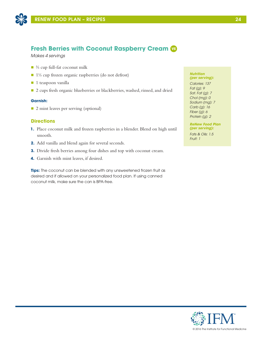

# **Fresh Berries with Coconut Raspberry Cream VE**

*Makes 4 servings*

- $\blacksquare$  % cup full-fat coconut milk
- 1⅓ cup frozen organic raspberries (do not defrost)
- $\blacksquare$  1 teaspoon vanilla
- 2 cups fresh organic blueberries or blackberries, washed, rinsed, and dried

### **Garnish:**

■ 2 mint leaves per serving (optional)

## **Directions**

- **1.** Place coconut milk and frozen raspberries in a blender. Blend on high until smooth.
- **2.** Add vanilla and blend again for several seconds.
- **3.** Divide fresh berries among four dishes and top with coconut cream.
- **4.** Garnish with mint leaves, if desired.

**Tips:** The coconut can be blended with any unsweetened frozen fruit as desired and if allowed on your personalized food plan. If using canned coconut milk, make sure the can is BPA-free.

#### *Nutrition (per serving):*

*Calories: 137 Fat (g): 9 Sat. Fat (g): 7 Chol (mg): 0 Sodium (mg): 7 Carb (g): 16 Fiber (g): 6 Protein (g): 2*

#### *ReNew Food Plan (per serving):*

*Fats & Oils: 1.5 Fruit: 1*

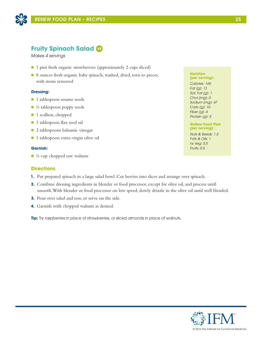

# **Fruity Spinach Salad VE**

*Makes 4 servings*

- 1 pint fresh organic strawberries (approximately 2 cups sliced)
- 8 ounces fresh organic baby spinach, washed, dried, torn to pieces, with stems removed

### **Dressing:**

- 1 tablespoon sesame seeds
- $\blacksquare$  ½ tablespoon poppy seeds
- 1 scallion, chopped
- 1 tablespoon flax seed oil
- 2 tablespoons balsamic vinegar
- 1 tablespoon extra-virgin olive oil

### **Garnish:**

 $\blacksquare$  ¼ cup chopped raw walnuts

### **Directions**

- **1.** Put prepared spinach in a large salad bowl. Cut berries into slices and arrange over spinach.
- **2.** Combine dressing ingredients in blender or food processor, except for olive oil, and process until smooth. With blender or food processor on low speed, slowly drizzle in the olive oil until well blended.
- **3.** Pour over salad and toss, or serve on the side.
- **4.** Garnish with chopped walnuts as desired.

**Tip:** Try raspberries in place of strawberries, or sliced almonds in place of walnuts.

#### *Nutrition (per serving):*

*Calories: 165 Fat (g): 13 Sat. Fat (g): 1 Chol (mg): 0 Sodium (mg): 47 Carb (g): 10 Fiber (g): 4 Protein (g): 5*

### *ReNew Food Plan (per serving):*

*Nuts & Seeds: 1.5 Fats & Oils: 1 ns Veg: 0.5 Fruits: 0.5*

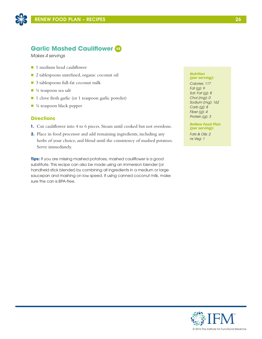

# **Garlic Mashed Cauliflower VE**

*Makes 4 servings*

- 1 medium head cauliflower
- 2 tablespoons unrefined, organic coconut oil
- 3 tablespoons full-fat coconut milk
- $\blacksquare$  ¼ teaspoon sea salt
- 1 clove fresh garlic (or 1 teaspoon garlic powder)
- $\blacksquare$  ¼ teaspoon black pepper

### **Directions**

- **1.** Cut cauliflower into 4 to 6 pieces. Steam until cooked but not overdone.
- **2.** Place in food processor and add remaining ingredients, including any herbs of your choice, and blend until the consistency of mashed potatoes. Serve immediately.

**Tips:** If you are missing mashed potatoes, mashed cauliflower is a good substitute. This recipe can also be made using an immersion blender (or handheld stick blender) by combining all ingredients in a medium or large saucepan and mashing on low speed. If using canned coconut milk, make sure the can is BPA-free.

#### *Nutrition (per serving):*

*Calories: 117 Fat (g): 9 Sat. Fat (g): 8 Chol (mg): 0 Sodium (mg): 162 Carb (g): 8 Fiber (g): 4 Protein (g): 3*

*ReNew Food Plan (per serving):*

*Fats & Oils: 2 ns Veg: 1*

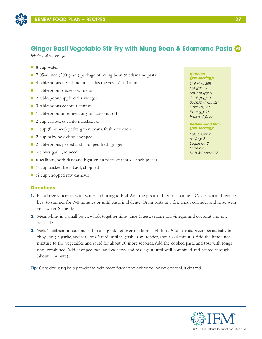

# **Ginger Basil Vegetable Stir Fry with Mung Bean & Edamame Pasta VE**

*Makes 4 servings*

- 8 cup water
- 7.05-ounce (200 gram) package of mung bean & edamame pasta
- $\blacksquare$  4 tablespoons fresh lime juice, plus the zest of half a lime
- 1 tablespoon toasted sesame oil
- 2 tablespoons apple cider vinegar
- 3 tablespoons coconut aminos
- 1 tablespoon unrefined, organic coconut oil
- $\Box$  2 cup carrots, cut into matchsticks
- 1 cup (8 ounces) petite green beans, fresh or frozen
- $\Box$  2 cup baby bok choy, chopped
- $\Box$  2 tablespoons peeled and chopped fresh ginger
- 3 cloves garlic, minced
- 6 scallions, both dark and light green parts, cut into 1-inch pieces
- $\blacksquare$  ½ cup packed fresh basil, chopped
- $\blacksquare$  ¼ cup chopped raw cashews

### **Directions**

- **1.** Fill a large saucepan with water and bring to boil. Add the pasta and return to a boil. Cover pan and reduce heat to simmer for 7-8 minutes or until pasta is al dente. Drain pasta in a fine mesh colander and rinse with cold water. Set aside.
- **2.** Meanwhile, in a small bowl, whisk together lime juice & zest, sesame oil, vinegar, and coconut aminos. Set aside.
- **3.** Melt 1 tablespoon coconut oil in a large skillet over medium-high heat. Add carrots, green beans, baby bok choy, ginger, garlic, and scallions. Sauté until vegetables are tender, about 2-4 minutes. Add the lime juice mixture to the vegetables and sauté for about 30 more seconds. Add the cooked pasta and toss with tongs until combined. Add chopped basil and cashews, and toss again until well combined and heated through (about 1 minute).

**Tip:** Consider using kelp powder to add more flavor and enhance iodine content, if desired.

#### *Nutrition (per serving):*

*Calories: 388 Fat (g): 16 Sat. Fat (g): 5 Chol (mg): 0 Sodium (mg): 321 Carb (g): 37 Fiber (g): 13 Protein (g): 27*

### *ReNew Food Plan (per serving):*

*Fats & Oils: 2 ns Veg: 2 Legumes: 2 Proteins: 1 Nuts & Seeds: 0.5*

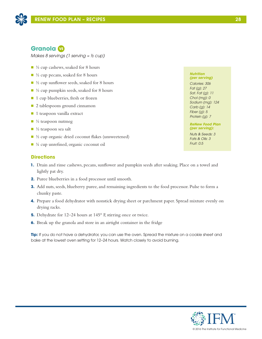# **Granola VE**

*Makes 8 servings (1 serving ≈ ½ cup)*

- $\blacksquare$  ½ cup cashews, soaked for 8 hours
- $\blacksquare$  ½ cup pecans, soaked for 8 hours
- $\blacksquare$  ½ cup sunflower seeds, soaked for 8 hours
- $\blacksquare$  ½ cup pumpkin seeds, soaked for 8 hours
- 1 cup blueberries, fresh or frozen
- 2 tablespoons ground cinnamon
- $\blacksquare$  1 teaspoon vanilla extract
- $\blacksquare$  ½ teaspoon nutmeg
- $\blacksquare$  ½ teaspoon sea salt
- $\blacksquare$  ½ cup organic dried coconut flakes (unsweetened)
- $\blacksquare$  ¼ cup unrefined, organic coconut oil

# **Directions**

- **1.** Drain and rinse cashews, pecans, sunflower and pumpkin seeds after soaking. Place on a towel and lightly pat dry.
- **2.** Puree blueberries in a food processor until smooth.
- **3.** Add nuts, seeds, blueberry puree, and remaining ingredients to the food processor. Pulse to form a chunky paste.
- **4.** Prepare a food dehydrator with nonstick drying sheet or parchment paper. Spread mixture evenly on drying racks.
- **5.** Dehydrate for 12–24 hours at 145° F, stirring once or twice.
- **6.** Break up the granola and store in an airtight container in the fridge

**Tip:** If you do not have a dehydrator, you can use the oven. Spread the mixture on a cookie sheet and bake at the lowest oven setting for 12–24 hours. Watch closely to avoid burning.

### *Nutrition (per serving)*

*Calories: 306 Fat (g): 27 Sat. Fat (g): 11 Chol (mg): 0 Sodium (mg): 124 Carb (g): 14 Fiber (g): 5 Protein (g): 7*

*ReNew Food Plan (per serving):*

*Nuts & Seeds: 3 Fats & Oils: 3 Fruit: 0.5*

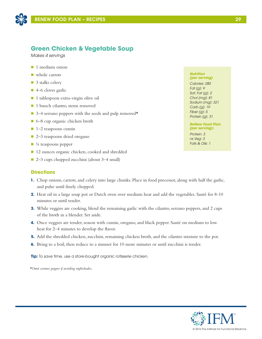

# **Green Chicken & Vegetable Soup**

*Makes 4 servings*

- $\blacksquare$  1 medium onion
- $\blacksquare$  whole carrots
- 3 stalks celery
- $\blacksquare$  4–6 cloves garlic
- 1 tablespoon extra-virgin olive oil
- 1 bunch cilantro, stems removed
- $\Box$  3–4 serrano peppers with the seeds and pulp removed $\star$
- 6–8 cup organic chicken broth
- $\blacksquare$  1–2 teaspoons cumin
- 2–3 teaspoons dried oregano
- $\blacksquare$  ¼ teaspoons pepper
- 12 ounces organic chicken, cooked and shredded
- 2–3 cups chopped zucchini (about 3–4 small)

### **Directions**

- **1.** Chop onions, carrots, and celery into large chunks. Place in food processor, along with half the garlic, and pulse until finely chopped.
- **2.** Heat oil in a large soup pot or Dutch oven over medium heat and add the vegetables. Sauté for 8-10 minutes or until tender.
- **3.** While veggies are cooking, blend the remaining garlic with the cilantro, serrano peppers, and 2 cups of the broth in a blender. Set aside.
- **4.** Once veggies are tender, season with cumin, oregano, and black pepper. Sauté on medium to low heat for 2–4 minutes to develop the flavor.
- **5.** Add the shredded chicken, zucchini, remaining chicken broth, and the cilantro mixture to the pot.
- **6.** Bring to a boil, then reduce to a simmer for 10 more minutes or until zucchini is tender.

**Tip:** To save time, use a store-bought organic rotisserie chicken.

*\*Omit serrano pepper if avoiding nightshades.* 

#### *Nutrition (per serving)*

*Calories: 280 Fat (g): 9 Sat. Fat (g): 2 Chol (mg): 81 Sodium (mg): 321 Carb (g): 19 Fiber (g): 5 Protein (g): 31*

### *ReNew Food Plan (per serving):*

*Protein: 3 ns Veg: 3 Fats & Oils: 1*

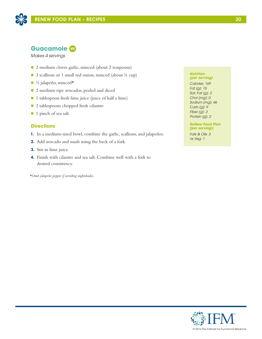

# **Guacamole VE**

*Makes 4 servings*

- 2 medium cloves garlic, minced (about 2 teaspoons)
- 3 scallions or 1 small red onion, minced (about ¼ cup)
- $\blacksquare$  ¼ jalapeño, minced $\star$
- 2 medium ripe avocados, peeled and diced
- $\blacksquare$  1 tablespoon fresh lime juice (juice of half a lime)
- 2 tablespoons chopped fresh cilantro
- 1 pinch of sea salt

# **Directions**

- **1.** In a medium-sized bowl, combine the garlic, scallions, and jalapeños.
- **2.** Add avocado and mash using the back of a fork.
- **3.** Stir in lime juice.
- **4.** Finish with cilantro and sea salt. Combine well with a fork to desired consistency.

*\*Omit jalapeño pepper if avoiding nightshades.* 

#### *Nutrition (per serving)*

*Calories: 169 Fat (g): 15 Sat. Fat (g): 2 Chol (mg): 0 Sodium (mg): 46 Carb (g): 9 Fiber (g): 3 Protein (g): 2*

#### *ReNew Food Plan (per serving):*

*Fats & Oils: 3 ns Veg: 1*

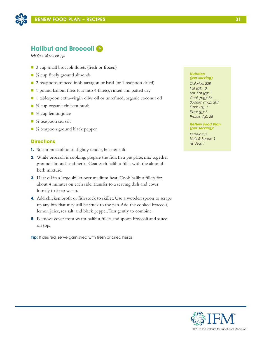

# **Halibut and Broccoli <b>P**

*Makes 4 servings*

- 3 cup small broccoli florets (fresh or frozen)
- $\blacksquare$  <sup>1</sup>/<sub>4</sub> cup finely ground almonds
- 2 teaspoons minced fresh tarragon or basil (or 1 teaspoon dried)
- $\blacksquare$  1 pound halibut filets (cut into 4 fillets), rinsed and patted dry
- 1 tablespoon extra-virgin olive oil or unrefined, organic coconut oil
- $\blacksquare$  ½ cup organic chicken broth
- $\blacksquare$  ¼ cup lemon juice
- $\blacksquare$  ¼ teaspoon sea salt
- $\blacksquare$  ¼ teaspoon ground black pepper

# **Directions**

- **1.** Steam broccoli until slightly tender, but not soft.
- **2.** While broccoli is cooking, prepare the fish. In a pie plate, mix together ground almonds and herbs. Coat each halibut fillet with the almondherb mixture.
- **3.** Heat oil in a large skillet over medium heat. Cook halibut fillets for about 4 minutes on each side. Transfer to a serving dish and cover loosely to keep warm.
- **4.** Add chicken broth or fish stock to skillet. Use a wooden spoon to scrape up any bits that may still be stuck to the pan. Add the cooked broccoli, lemon juice, sea salt, and black pepper. Toss gently to combine.
- **5.** Remove cover from warm halibut fillets and spoon broccoli and sauce on top.

**Tip:** If desired, serve garnished with fresh or dried herbs.

#### *Nutrition (per serving)*

*Calories: 228 Fat (g): 10 Sat. Fat (g): 1 Chol (mg): 36 Sodium (mg): 207 Carb (g): 7 Fiber (g): 3 Protein (g): 28*

### *ReNew Food Plan (per serving):*

*Proteins: 3 Nuts & Seeds: 1 ns Veg: 1*

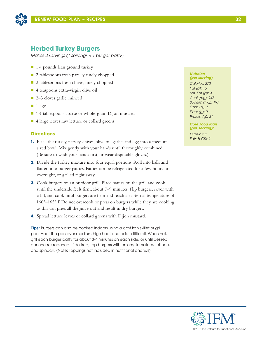

# **Herbed Turkey Burgers**

*Makes 4 servings (1 servings ≈ 1 burger patty)*

- $\blacksquare$  1¼ pounds lean ground turkey
- 2 tablespoons fresh parsley, finely chopped
- $\Box$  2 tablespoons fresh chives, finely chopped
- $\blacksquare$  4 teaspoons extra-virgin olive oil
- 2–3 cloves garlic, minced
- $\blacksquare$  1 egg
- $\blacksquare$  1½ tablespoons coarse or whole-grain Dijon mustard
- 4 large leaves raw lettuce or collard greens

# **Directions**

- **1.** Place the turkey, parsley, chives, olive oil, garlic, and egg into a mediumsized bowl. Mix gently with your hands until thoroughly combined. (Be sure to wash your hands first, or wear disposable gloves.)
- **2.** Divide the turkey mixture into four equal portions. Roll into balls and flatten into burger patties. Patties can be refrigerated for a few hours or overnight, or grilled right away.
- **3.** Cook burgers on an outdoor grill. Place patties on the grill and cook until the underside feels firm, about 7–9 minutes. Flip burgers, cover with a lid, and cook until burgers are firm and reach an internal temperature of 160°–165° F. Do not overcook or press on burgers while they are cooking as this can press all the juice out and result in dry burgers.
- **4.** Spread lettuce leaves or collard greens with Dijon mustard.

**Tips:** Burgers can also be cooked indoors using a cast iron skillet or grill pan. Heat the pan over medium-high heat and add a little oil. When hot, grill each burger patty for about 3-4 minutes on each side, or until desired doneness is reached. If desired, top burgers with onions, tomatoes, lettuce, and spinach. (Note: Toppings not included in nutritional analysis).

#### *Nutrition (per serving)*

*Calories: 270 Fat (g): 16 Sat. Fat (g): 4 Chol (mg): 145 Sodium (mg): 197 Carb (g): 1 Fiber (g): 0 Protein (g): 31*

*Core Food Plan (per serving):*

*Proteins: 4 Fats & Oils: 1* 

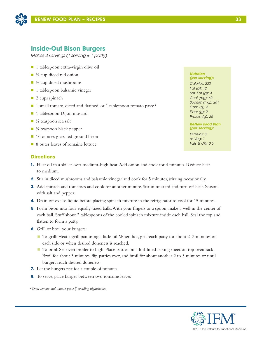

# **Inside-Out Bison Burgers**

*Makes 4 servings (1 serving ≈ 1 patty)*

- 1 tablespoon extra-virgin olive oil
- $\blacksquare$  ½ cup diced red onion
- $\blacksquare$  ½ cup diced mushrooms
- $\blacksquare$  1 tablespoon balsamic vinegar
- $\blacksquare$  2 cups spinach
- $\blacksquare$  1 small tomato, diced and drained, or 1 tablespoon tomato paste\*
- 1 tablespoon Dijon mustard
- $\blacksquare$  ¼ teaspoon sea salt
- $\blacksquare$  ¼ teaspoon black pepper
- 16 ounces grass-fed ground bison
- 8 outer leaves of romaine lettuce

# **Directions**

- **1.** Heat oil in a skillet over medium-high heat. Add onion and cook for 4 minutes. Reduce heat to medium.
- **2.** Stir in diced mushrooms and balsamic vinegar and cook for 5 minutes, stirring occasionally.
- **3.** Add spinach and tomatoes and cook for another minute. Stir in mustard and turn off heat. Season with salt and pepper.
- **4.** Drain off excess liquid before placing spinach mixture in the refrigerator to cool for 15 minutes.
- **5.** Form bison into four equally-sized balls. With your fingers or a spoon, make a well in the center of each ball. Stuff about 2 tablespoons of the cooled spinach mixture inside each ball. Seal the top and flatten to form a patty.
- **6.** Grill or broil your burgers:
	- To grill: Heat a grill pan using a little oil. When hot, grill each patty for about 2–3 minutes on each side or when desired doneness is reached.
	- To broil: Set oven broiler to high. Place patties on a foil-lined baking sheet on top oven rack. Broil for about 3 minutes, flip patties over, and broil for about another 2 to 3 minutes or until burgers reach desired doneness.
- **7.** Let the burgers rest for a couple of minutes.
- **8.** To serve, place burger between two romaine leaves

*\*Omit tomato and tomato paste if avoiding nightshades.* 

# © 2016 The Institute for Functional Medicine

#### *Nutrition (per serving):*

*Calories: 222 Fat (g): 12 Sat. Fat (g): 4 Chol (mg): 62 Sodium (mg): 261 Carb (g): 5 Fiber (g): 2 Protein (g): 25*

### *ReNew Food Plan (per serving):*

*Proteins: 3 ns Veg: 1 Fats & Oils: 0.5*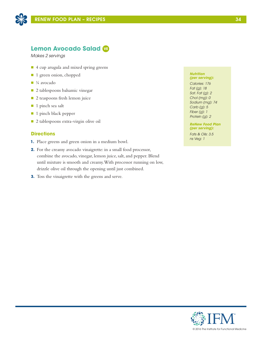

# **Lemon Avocado Salad VE**

*Makes 2 servings* 

- 4 cup arugula and mixed spring greens
- 1 green onion, chopped
- $\blacksquare$  ¼ avocado
- 2 tablespoons balsamic vinegar
- 2 teaspoons fresh lemon juice
- 1 pinch sea salt
- 1 pinch black pepper
- 2 tablespoons extra-virgin olive oil

# **Directions**

- **1.** Place greens and green onion in a medium bowl.
- **2.** For the creamy avocado vinaigrette: in a small food processor, combine the avocado, vinegar, lemon juice, salt, and pepper. Blend until mixture is smooth and creamy. With processor running on low, drizzle olive oil through the opening until just combined.
- **3.** Toss the vinaigrette with the greens and serve.

### *Nutrition (per serving):*

*Calories: 176 Fat (g): 18 Sat. Fat (g): 2 Chol (mg): 0 Sodium (mg): 74 Carb (g): 5 Fiber (g): 1 Protein (g): 2*

*ReNew Food Plan (per serving):*

*Fats & Oils: 3.5 ns Veg: 1*

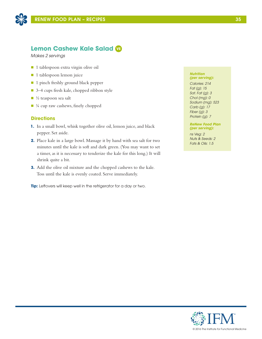

# **Lemon Cashew Kale Salad VE**

*Makes 2 servings*

- 1 tablespoon extra virgin olive oil
- n 1 tablespoon lemon juice
- 1 pinch freshly ground black pepper
- 3–4 cups fresh kale, chopped ribbon style
- $\blacksquare$  ½ teaspoon sea salt
- $\blacksquare$  ¼ cup raw cashews, finely chopped

### **Directions**

- **1.** In a small bowl, whisk together olive oil, lemon juice, and black pepper. Set aside.
- **2.** Place kale in a large bowl. Massage it by hand with sea salt for two minutes until the kale is soft and dark green. (You may want to set a timer, as it is necessary to tenderize the kale for this long.) It will shrink quite a bit.
- **3.** Add the olive oil mixture and the chopped cashews to the kale. Toss until the kale is evenly coated. Serve immediately.

**Tip:** Leftovers will keep well in the refrigerator for a day or two.

#### *Nutrition (per serving):*

*Calories: 214 Fat (g): 15 Sat. Fat (g): 3 Chol (mg): 0 Sodium (mg): 523 Carb (g): 17 Fiber (g): 3 Protein (g): 7*

### *ReNew Food Plan (per serving):*

*ns Veg: 2 Nuts & Seeds: 2 Fats & Oils: 1.5*

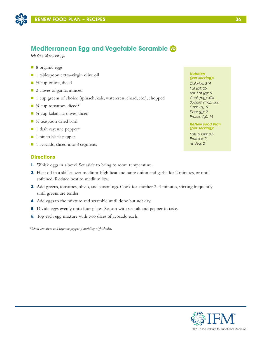

# **Mediterranean Egg and Vegetable Scramble VO**

*Makes 4 servings*

- 8 organic eggs
- 1 tablespoon extra-virgin olive oil
- $\blacksquare$  ½ cup onion, diced
- 2 cloves of garlic, minced
- 1 cup greens of choice (spinach, kale, watercress, chard, etc.), chopped
- $\blacksquare$  ¼ cup tomatoes, diced\*
- $\blacksquare$  ¼ cup kalamata olives, diced
- $\blacksquare$  ½ teaspoon dried basil
- $\blacksquare$  1 dash cayenne pepper\*
- $\blacksquare$  1 pinch black pepper
- 1 avocado, sliced into 8 segments

### **Directions**

- **1.** Whisk eggs in a bowl. Set aside to bring to room temperature.
- **2.** Heat oil in a skillet over medium-high heat and sauté onion and garlic for 2 minutes, or until softened. Reduce heat to medium low.
- **3.** Add greens, tomatoes, olives, and seasonings. Cook for another 2–4 minutes, stirring frequently until greens are tender.
- **4.** Add eggs to the mixture and scramble until done but not dry.
- **5.** Divide eggs evenly onto four plates. Season with sea salt and pepper to taste.
- **6.** Top each egg mixture with two slices of avocado each.

*\*Omit tomatoes and cayenne pepper if avoiding nightshades.* 

#### *Nutrition (per serving):*

*Calories: 314 Fat (g): 25 Sat. Fat (g): 5 Chol (mg): 424 Sodium (mg): 386 Carb (g): 9 Fiber (g): 2 Protein (g): 14*

### *ReNew Food Plan (per serving):*

*Fats & Oils: 3.5 Proteins: 2 ns Veg: 2*

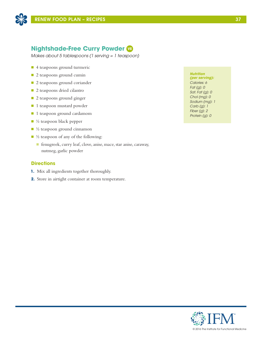

# **Nightshade-Free Curry Powder VE**

*Makes about 5 tablespoons (1 serving = 1 teaspoon)*

- 4 teaspoons ground turmeric
- 2 teaspoons ground cumin
- 2 teaspoons ground coriander
- 2 teaspoons dried cilantro
- **n** 2 teaspoons ground ginger
- **n** 1 teaspoon mustard powder
- 1 teaspoon ground cardamom
- $\blacksquare$  ½ teaspoon black pepper
- $\blacksquare$  ½ teaspoon ground cinnamon
- $\blacksquare$  ½ teaspoon of any of the following:
	- n fenugreek, curry leaf, clove, anise, mace, star anise, caraway, nutmeg, garlic powder

### **Directions**

- **1.** Mix all ingredients together thoroughly.
- **2.** Store in airtight container at room temperature.

### *Nutrition*

*(per serving): Calories: 6 Fat (g): 0 Sat. Fat (g): 0 Chol (mg): 0 Sodium (mg): 1 Carb (g): 1 Fiber (g): 2 Protein (g): 0*



© 2016 The Institute for Functional Medicine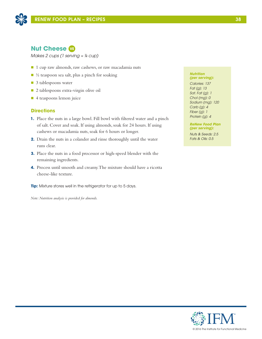

# **Nut Cheese VE**

*Makes 2 cups (1 serving ≈ ¼ cup)*

- 1 cup raw almonds, raw cashews, or raw macadamia nuts
- $\blacksquare$  ½ teaspoon sea salt, plus a pinch for soaking
- 3 tablespoons water
- 2 tablespoons extra-virgin olive oil
- 4 teaspoons lemon juice

# **Directions**

- **1.** Place the nuts in a large bowl. Fill bowl with filtered water and a pinch of salt. Cover and soak. If using almonds, soak for 24 hours. If using cashews or macadamia nuts, soak for 6 hours or longer.
- **2.** Drain the nuts in a colander and rinse thoroughly until the water runs clear.
- **3.** Place the nuts in a food processor or high-speed blender with the remaining ingredients.
- **4.** Process until smooth and creamy. The mixture should have a ricotta cheese-like texture.

**Tip:** Mixture stores well in the refrigerator for up to 5 days.

*Note: Nutrition analysis is provided for almonds.* 

### *Nutrition (per serving):*

*Calories: 137 Fat (g): 13 Sat. Fat (g): 1 Chol (mg): 0 Sodium (mg): 120 Carb (g): 4 Fiber (g): 1 Protein (g): 4*

*ReNew Food Plan (per serving):*

*Nuts & Seeds: 2.5 Fats & Oils: 0.5*

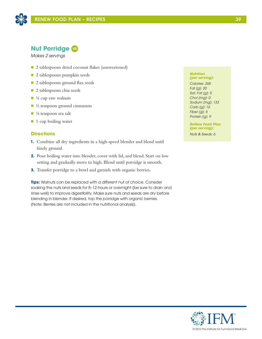



# **Nut Porridge VE**

*Makes 2 servings*

- 2 tablespoons dried coconut flakes (unsweetened)
- 2 tablespoons pumpkin seeds
- 2 tablespoons ground flax seeds
- n 2 tablespoons chia seeds
- $\blacksquare$  ¼ cup raw walnuts
- $\blacksquare$  ½ teaspoon ground cinnamon
- $\blacksquare$  <sup>1</sup>/<sub>8</sub> teaspoon sea salt
- $\blacksquare$  1 cup boiling water

# **Directions**

- **1.** Combine all dry ingredients in a high-speed blender and blend until finely ground.
- **2.** Pour boiling water into blender, cover with lid, and blend. Start on low setting and gradually move to high. Blend until porridge is smooth.
- **3.** Transfer porridge to a bowl and garnish with organic berries.

**Tips:** Walnuts can be replaced with a different nut of choice. Consider soaking the nuts and seeds for 8–12 hours or overnight (be sure to drain and rinse well) to improve digestibility. Make sure nuts and seeds are dry before blending in blender. If desired, top the porridge with organic berries. (Note: Berries are not included in the nutritional analysis).

#### *Nutrition (per serving):*

*Calories: 265 Fat (g): 20 Sat. Fat (g): 5 Chol (mg): 0 Sodium (mg): 133 Carb (g): 16 Fiber (g): 5 Protein (g): 9*

*ReNew Food Plan (per serving):*

*Nuts & Seeds: 6*

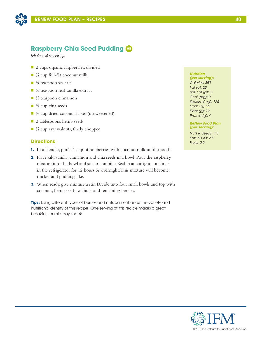

# **Raspberry Chia Seed Pudding VE**

*Makes 4 servings*

- 2 cups organic raspberries, divided
- $\blacksquare$   $\frac{3}{4}$  cup full-fat coconut milk
- $\blacksquare$  ¼ teaspoon sea salt
- $\blacksquare$  ½ teaspoon real vanilla extract
- $\blacksquare$  ½ teaspoon cinnamon
- $\blacksquare$  ½ cup chia seeds
- $\blacksquare$  ½ cup dried coconut flakes (unsweetened)
- 2 tablespoons hemp seeds
- $\blacksquare$  ¼ cup raw walnuts, finely chopped

# **Directions**

- **1.** In a blender, purée 1 cup of raspberries with coconut milk until smooth.
- **2.** Place salt, vanilla, cinnamon and chia seeds in a bowl. Pour the raspberry mixture into the bowl and stir to combine. Seal in an airtight container in the refrigerator for 12 hours or overnight. This mixture will become thicker and pudding-like.
- **3.** When ready, give mixture a stir. Divide into four small bowls and top with coconut, hemp seeds, walnuts, and remaining berries.

**Tips:** Using different types of berries and nuts can enhance the variety and nutritional density of this recipe. One serving of this recipe makes a great breakfast or mid-day snack.

### *Nutrition*

*(per serving): Calories: 350 Fat (g): 28 Sat. Fat (g): 11 Chol (mg): 0 Sodium (mg): 125 Carb (g): 22 Fiber (g): 12 Protein (g): 9*

*ReNew Food Plan (per serving):*

*Nuts & Seeds: 4.5 Fats & Oils: 2.5 Fruits: 0.5*

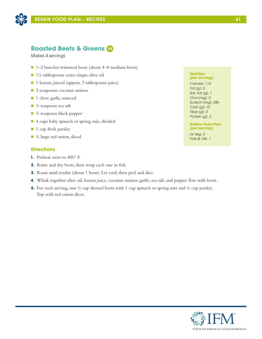

# **Roasted Beets & Greens VE**

*Makes 4 servings* 

- $\blacksquare$  1–2 bunches trimmed beets (about 4–8 medium beets)
- 1½ tablespoons extra-virgin olive oil
- 1 lemon, juiced (approx. 3 tablespoons juice)
- $\Box$  2 teaspoons coconut aminos
- 1 clove garlic, minced
- $\blacksquare$  ¼ teaspoon sea salt
- $\blacksquare$  ¼ teaspoon black pepper
- 4 cups baby spinach or spring mix, divided
- **1** cup fresh parsley
- $\blacksquare$  ¼ large red onion, sliced

# **Directions**

- **1.** Preheat oven to 400° F.
- **2.** Rinse and dry beets, then wrap each one in foil.
- **3.** Roast until tender (about 1 hour). Let cool, then peel and dice.
- **4.** Whisk together olive oil, lemon juice, coconut aminos, garlic, sea salt, and pepper. Toss with beets.
- **5.** For each serving, toss <sup>1</sup>/<sub>2</sub> cup dressed beets with 1 cup spinach or spring mix and <sup>1</sup>/<sub>4</sub> cup parsley. Top with red onion slices.

#### *Nutrition (per serving):*

*Calories: 113 Fat (g): 5 Sat. Fat (g): 1 Chol (mg): 0 Sodium (mg): 286 Carb (g): 15 Fiber (g): 3 Protein (g): 3*

### *ReNew Food Plan (per serving):*

*ns Veg: 3 Fats & Oils: 1*

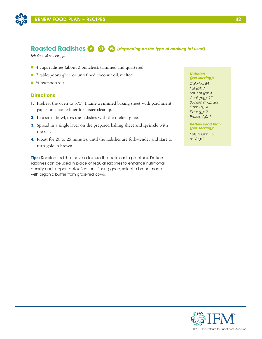

# **Roasted Radishes V VE VL** *(depending on the type of cooking fat used)*

*Makes 4 servings* 

- n 4 cups radishes (about 3 bunches), trimmed and quartered
- 2 tablespoons ghee or unrefined coconut oil, melted
- $\blacksquare$  ½ teaspoon salt

# **Directions**

- **1.** Preheat the oven to 375° F. Line a rimmed baking sheet with parchment paper or silicone liner for easier cleanup.
- **2.** In a small bowl, toss the radishes with the melted ghee.
- **3.** Spread in a single layer on the prepared baking sheet and sprinkle with the salt.
- **4.** Roast for 20 to 25 minutes, until the radishes are fork-tender and start to turn golden brown.

**Tips:** Roasted radishes have a texture that is similar to potatoes. Daikon radishes can be used in place of regular radishes to enhance nutritional density and support detoxification. If using ghee, select a brand made with organic butter from grass-fed cows.

#### *Nutrition (per serving):*

*Calories: 84 Fat (g): 7 Sat. Fat (g): 4 Chol (mg): 17 Sodium (mg): 266 Carb (g): 4 Fiber (g): 2 Protein (g): 1*

### *ReNew Food Plan (per serving):*

*Fats & Oils: 1.5 ns Veg: 1*

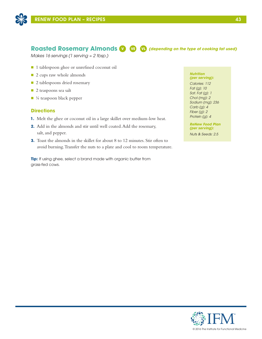

# **Roasted Rosemary Almonds V VE VL** *(depending on the type of cooking fat used)*

*Makes 16 servings (1 serving ≈ 2 tbsp.)*

- 1 tablespoon ghee or unrefined coconut oil
- 2 cups raw whole almonds
- 2 tablespoons dried rosemary
- 2 teaspoons sea salt
- $\blacksquare$  ¼ teaspoon black pepper

## **Directions**

- **1.** Melt the ghee or coconut oil in a large skillet over medium-low heat.
- **2.** Add in the almonds and stir until well coated. Add the rosemary, salt, and pepper.
- **3.** Toast the almonds in the skillet for about 8 to 12 minutes. Stir often to avoid burning. Transfer the nuts to a plate and cool to room temperature.

**Tip:** If using ghee, select a brand made with organic butter from grass-fed cows.

#### *Nutrition (per serving):*

*Calories: 112 Fat (g): 10 Sat. Fat (g): 1 Chol (mg): 2 Sodium (mg): 236 Carb (g): 4 Fiber (g): 2 Protein (g): 4*

*ReNew Food Plan (per serving):*

*Nuts & Seeds: 2.5*

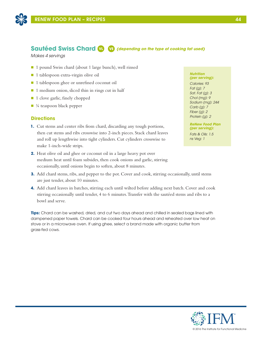

# **Sautéed Swiss Chard VI VE** *(depending on the type of cooking fat used)*

*Makes 4 servings* 

- 1 pound Swiss chard (about 1 large bunch), well rinsed
- 1 tablespoon extra-virgin olive oil
- 1 tablespoon ghee or unrefined coconut oil
- $\blacksquare$  1 medium onion, sliced thin in rings cut in half
- 1 clove garlic, finely chopped
- $\blacksquare$  ¼ teaspoon black pepper

# **Directions**

- **1.** Cut stems and center ribs from chard, discarding any tough portions, then cut stems and ribs crosswise into 2-inch pieces. Stack chard leaves and roll up lengthwise into tight cylinders. Cut cylinders crosswise to make 1-inch-wide strips.
- **2.** Heat olive oil and ghee or coconut oil in a large heavy pot over medium heat until foam subsides, then cook onions and garlic, stirring occasionally, until onions begin to soften, about 8 minutes.
- **3.** Add chard stems, ribs, and pepper to the pot. Cover and cook, stirring occasionally, until stems are just tender, about 10 minutes.
- **4.** Add chard leaves in batches, stirring each until wilted before adding next batch. Cover and cook stirring occasionally until tender, 4 to 6 minutes. Transfer with the sautéed stems and ribs to a bowl and serve.

**Tips:** Chard can be washed, dried, and cut two days ahead and chilled in sealed bags lined with dampened paper towels. Chard can be cooked four hours ahead and reheated over low heat on stove or in a microwave oven. If using ghee, select a brand made with organic butter from grass-fed cows.

### *Nutrition*

*(per serving): Calories: 93 Fat (g): 7 Sat. Fat (g): 3 Chol (mg): 9 Sodium (mg): 244 Carb (g): 7 Fiber (g): 2 Protein (g): 2*

*ReNew Food Plan (per serving):*

*Fats & Oils: 1.5 ns Veg: 1*

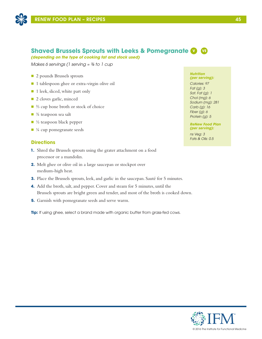

# **Shaved Brussels Sprouts with Leeks & Pomegranate V VE**

*(depending on the type of cooking fat and stock used)*

*Makes 6 servings (1 serving ≈ ¾ to 1 cup* 

- 2 pounds Brussels sprouts
- 1 tablespoon ghee or extra-virgin olive oil
- 1 leek, sliced, white part only
- 2 cloves garlic, minced
- ⅔ cup bone broth or stock of choice
- $\blacksquare$   $\frac{3}{4}$  teaspoon sea salt
- $\blacksquare$  ½ teaspoon black pepper
- $\blacksquare$  ¼ cup pomegranate seeds

### **Directions**

- **1.** Shred the Brussels sprouts using the grater attachment on a food processor or a mandolin.
- **2.** Melt ghee or olive oil in a large saucepan or stockpot over medium-high heat.
- **3.** Place the Brussels sprouts, leek, and garlic in the saucepan. Sauté for 5 minutes.
- **4.** Add the broth, salt, and pepper. Cover and steam for 5 minutes, until the Brussels sprouts are bright green and tender, and most of the broth is cooked down.
- **5.** Garnish with pomegranate seeds and serve warm.

**Tip:** If using ghee, select a brand made with organic butter from grass-fed cows.

#### *Nutrition (per serving):*

*Calories: 97 Fat (g): 3 Sat. Fat (g): 1 Chol (mg): 6 Sodium (mg): 281 Carb (g): 16 Fiber (g): 6 Protein (g): 5*

*ReNew Food Plan (per serving):*

*ns Veg: 3 Fats & Oils: 0.5*

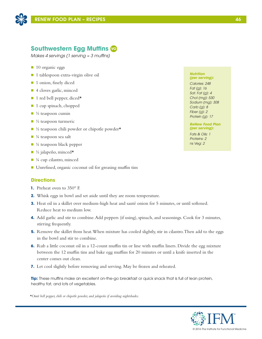

# **Southwestern Egg Muffins VO**

*Makes 4 servings (1 serving ≈ 3 muffins)*

- 10 organic eggs
- 1 tablespoon extra-virgin olive oil
- 1 onion, finely diced
- 4 cloves garlic, minced
- $\blacksquare$  1 red bell pepper, diced\*
- 1 cup spinach, chopped
- $\Box$  ½ teaspoon cumin
- $\blacksquare$  ½ teaspoon turmeric
- $\blacksquare$  ½ teaspoon chili powder or chipotle powder\*
- $\blacksquare$  ¼ teaspoon sea salt
- $\blacksquare$  ¼ teaspoon black pepper
- $\blacksquare$  ½ jalapeño, minced $\star$
- $\blacksquare$  ¼ cup cilantro, minced
- Unrefined, organic coconut oil for greasing muffin tins

# **Directions**

- **1.** Preheat oven to 350° F.
- **2.** Whisk eggs in bowl and set aside until they are room temperature.
- **3.** Heat oil in a skillet over medium-high heat and sauté onion for 5 minutes, or until softened. Reduce heat to medium low.
- **4.** Add garlic and stir to combine. Add peppers (if using), spinach, and seasonings. Cook for 3 minutes, stirring frequently.
- **5.** Remove the skillet from heat. When mixture has cooled slightly, stir in cilantro. Then add to the eggs in the bowl and stir to combine.
- **6.** Rub a little coconut oil in a 12-count muffin tin or line with muffin liners. Divide the egg mixture between the 12 muffin tins and bake egg muffins for 20 minutes or until a knife inserted in the center comes out clean.
- **7.** Let cool slightly before removing and serving. May be frozen and reheated.

**Tip:** These muffins make an excellent on-the-go breakfast or quick snack that is full of lean protein, healthy fat, and lots of vegetables.

*\*Omit bell pepper, chili or chipotle powder, and jalapeño if avoiding nightshades.*

#### *Nutrition (per serving):*

*Calories: 248 Fat (g): 16 Sat. Fat (g): 4 Chol (mg): 530 Sodium (mg): 308 Carb (g): 8 Fiber (g): 2 Protein (g): 17*

### *ReNew Food Plan (per serving):*

*Fats & Oils: 1 Proteins: 2 ns Veg: 2*

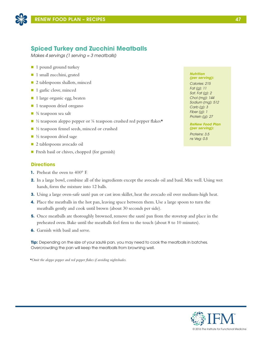

# **Spiced Turkey and Zucchini Meatballs**

*Makes 4 servings (1 serving = 3 meatballs)*

- 1 pound ground turkey
- 1 small zucchini, grated
- 2 tablespoons shallots, minced
- 1 garlic clove, minced
- n 1 large organic egg, beaten
- 1 teaspoon dried oregano
- $\blacksquare$   $\frac{3}{4}$  teaspoon sea salt
- $\blacksquare$  <sup>1</sup>/<sub>2</sub> teaspoon aleppo pepper or <sup>1</sup>/<sub>4</sub> teaspoon crushed red pepper flakes<sup>\*</sup>
- ½ teaspoon fennel seeds, minced or crushed
- $\blacksquare$  ½ teaspoon dried sage
- 2 tablespoons avocado oil
- Fresh basil or chives, chopped (for garnish)

# **Directions**

- **1.** Preheat the oven to 400° F.
- **2.** In a large bowl, combine all of the ingredients except the avocado oil and basil. Mix well. Using wet hands, form the mixture into 12 balls.
- **3.** Using a large oven-safe sauté pan or cast iron skillet, heat the avocado oil over medium-high heat.
- **4.** Place the meatballs in the hot pan, leaving space between them. Use a large spoon to turn the meatballs gently and cook until brown (about 30 seconds per side).
- **5.** Once meatballs are thoroughly browned, remove the sauté pan from the stovetop and place in the preheated oven. Bake until the meatballs feel firm to the touch (about 8 to 10 minutes).
- **6.** Garnish with basil and serve.

**Tip:** Depending on the size of your sauté pan, you may need to cook the meatballs in batches. Overcrowding the pan will keep the meatballs from browning well.

*\*Omit the aleppo pepper and red pepper flakes if avoiding nightshades.*

#### *Nutrition (per serving):*

*Calories: 215 Fat (g): 11 Sat. Fat (g): 2 Chol (mg): 144 Sodium (mg): 512 Carb (g): 3 Fiber (g): 1 Protein (g): 27*

### *ReNew Food Plan (per serving):*

*Proteins: 3.5 ns Veg: 0.5*

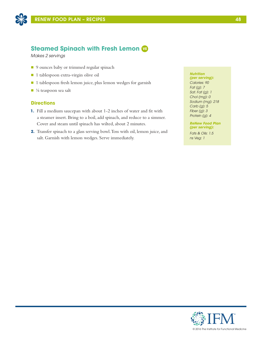

# **Steamed Spinach with Fresh Lemon VE**

*Makes 2 servings* 

- 9 ounces baby or trimmed regular spinach
- 1 tablespoon extra-virgin olive oil
- 1 tablespoon fresh lemon juice, plus lemon wedges for garnish
- $\blacksquare$  1/8 teaspoon sea salt

### **Directions**

- **1.** Fill a medium saucepan with about 1-2 inches of water and fit with a steamer insert. Bring to a boil, add spinach, and reduce to a simmer. Cover and steam until spinach has wilted, about 2 minutes.
- **2.** Transfer spinach to a glass serving bowl. Toss with oil, lemon juice, and salt. Garnish with lemon wedges. Serve immediately.

### *Nutrition*

*(per serving): Calories: 90 Fat (g): 7 Sat. Fat (g): 1 Chol (mg): 0 Sodium (mg): 218 Carb (g): 5 Fiber (g): 3 Protein (g): 4*

### *ReNew Food Plan (per serving):*

*Fats & Oils: 1.5 ns Veg: 1*

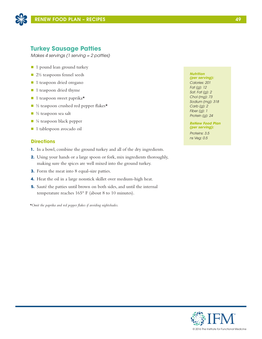

# **Turkey Sausage Patties**

*Makes 4 servings (1 serving = 2 patties)*

- 1 pound lean ground turkey
- 2½ teaspoons fennel seeds
- 1 teaspoon dried oregano
- 1 teaspoon dried thyme
- $\blacksquare$  1 teaspoon sweet paprika\*
- $\blacksquare$  ½ teaspoon crushed red pepper flakes\*
- $\blacksquare$  ½ teaspoon sea salt
- $\blacksquare$  ¼ teaspoon black pepper
- n 1 tablespoon avocado oil

### **Directions**

- **1.** In a bowl, combine the ground turkey and all of the dry ingredients.
- **2.** Using your hands or a large spoon or fork, mix ingredients thoroughly, making sure the spices are well mixed into the ground turkey.
- **3.** Form the meat into 8 equal-size patties.
- **4.** Heat the oil in a large nonstick skillet over medium-high heat.
- **5.** Sauté the patties until brown on both sides, and until the internal temperature reaches 165° F (about 8 to 10 minutes).

*\*Omit the paprika and red pepper flakes if avoiding nightshades.*

### *Nutrition*

*(per serving): Calories: 201 Fat (g): 12 Sat. Fat (g): 2 Chol (mg): 73 Sodium (mg): 318 Carb (g): 2 Fiber (g): 1 Protein (g): 24*

*ReNew Food Plan (per serving):*

*Proteins: 3.5 ns Veg: 0.5*

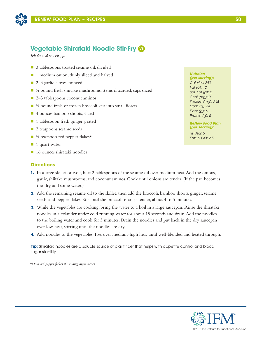

# **Vegetable Shirataki Noodle Stir-Fry VE**

*Makes 4 servings*

- 3 tablespoons toasted sesame oil, divided
- 1 medium onion, thinly sliced and halved
- 2–3 garlic cloves, minced
- $\blacksquare$  ¼ pound fresh shiitake mushrooms, stems discarded, caps sliced
- 2–3 tablespoons coconut aminos
- $\blacksquare$  ½ pound fresh or frozen broccoli, cut into small florets
- 4 ounces bamboo shoots, sliced
- 1 tablespoon fresh ginger, grated
- **n** 2 teaspoons sesame seeds
- $\blacksquare$  ½ teaspoon red pepper flakes\*
- $\blacksquare$  1 quart water
- 16 ounces shirataki noodles

# **Directions**

- **1.** In a large skillet or wok, heat 2 tablespoons of the sesame oil over medium heat. Add the onions, garlic, shiitake mushrooms, and coconut aminos. Cook until onions are tender. (If the pan becomes too dry, add some water.)
- **2.** Add the remaining sesame oil to the skillet, then add the broccoli, bamboo shoots, ginger, sesame seeds, and pepper flakes. Stir until the broccoli is crisp-tender, about 4 to 5 minutes.
- **3.** While the vegetables are cooking, bring the water to a boil in a large saucepan. Rinse the shirataki noodles in a colander under cold running water for about 15 seconds and drain. Add the noodles to the boiling water and cook for 3 minutes. Drain the noodles and put back in the dry saucepan over low heat, stirring until the noodles are dry.
- **4.** Add noodles to the vegetables. Toss over medium-high heat until well-blended and heated through.

**Tip:** Shirataki noodles are a soluble source of plant fiber that helps with appetite control and blood sugar stability.

*\*Omit red pepper flakes if avoiding nightshades.*

### *Nutrition*

*(per serving): Calories: 243 Fat (g): 12 Sat. Fat (g): 2 Chol (mg): 0 Sodium (mg): 248 Carb (g): 34 Fiber (g): 6 Protein (g): 6*

#### *ReNew Food Plan (per serving):*

*ns Veg: 5 Fats & Oils: 2.5*